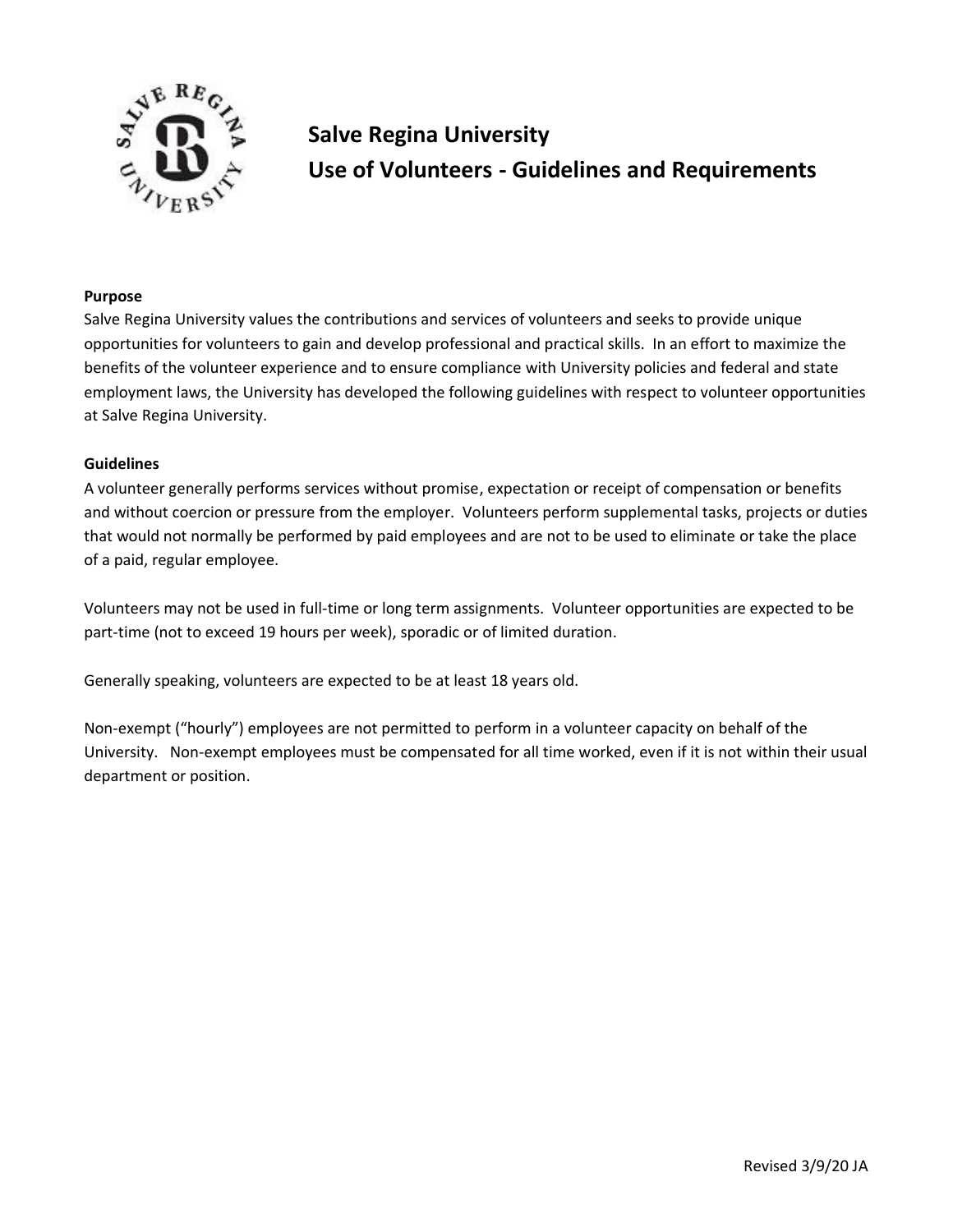

# **Salve Regina University Use of Volunteers - Guidelines and Requirements**

### **Purpose**

Salve Regina University values the contributions and services of volunteers and seeks to provide unique opportunities for volunteers to gain and develop professional and practical skills. In an effort to maximize the benefits of the volunteer experience and to ensure compliance with University policies and federal and state employment laws, the University has developed the following guidelines with respect to volunteer opportunities at Salve Regina University.

### **Guidelines**

A volunteer generally performs services without promise, expectation or receipt of compensation or benefits and without coercion or pressure from the employer. Volunteers perform supplemental tasks, projects or duties that would not normally be performed by paid employees and are not to be used to eliminate or take the place of a paid, regular employee.

Volunteers may not be used in full-time or long term assignments. Volunteer opportunities are expected to be part-time (not to exceed 19 hours per week), sporadic or of limited duration.

Generally speaking, volunteers are expected to be at least 18 years old.

Non-exempt ("hourly") employees are not permitted to perform in a volunteer capacity on behalf of the University. Non-exempt employees must be compensated for all time worked, even if it is not within their usual department or position.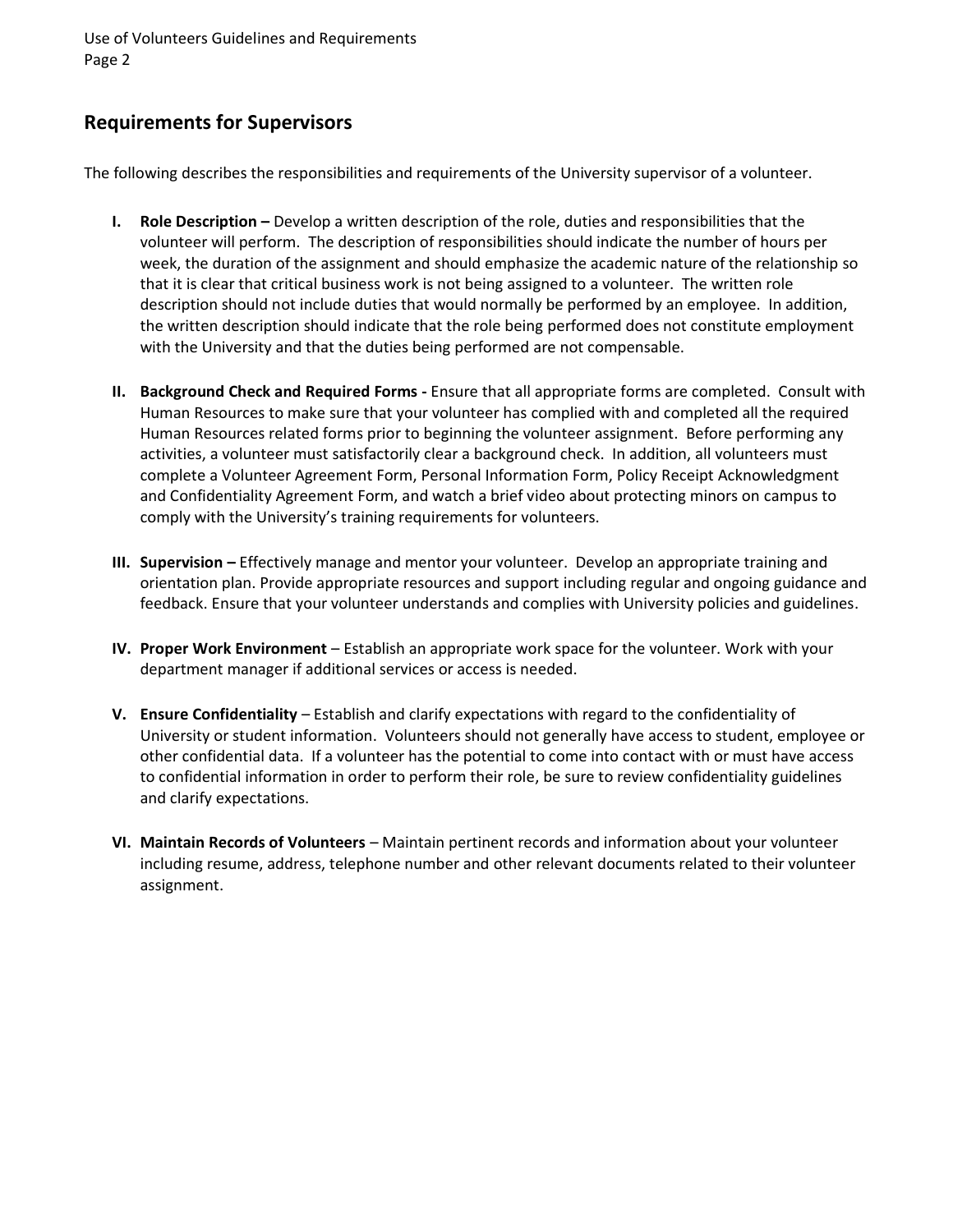Use of Volunteers Guidelines and Requirements Page 2

## **Requirements for Supervisors**

The following describes the responsibilities and requirements of the University supervisor of a volunteer.

- **I. Role Description** Develop a written description of the role, duties and responsibilities that the volunteer will perform. The description of responsibilities should indicate the number of hours per week, the duration of the assignment and should emphasize the academic nature of the relationship so that it is clear that critical business work is not being assigned to a volunteer. The written role description should not include duties that would normally be performed by an employee. In addition, the written description should indicate that the role being performed does not constitute employment with the University and that the duties being performed are not compensable.
- **II. Background Check and Required Forms -** Ensure that all appropriate forms are completed. Consult with Human Resources to make sure that your volunteer has complied with and completed all the required Human Resources related forms prior to beginning the volunteer assignment. Before performing any activities, a volunteer must satisfactorily clear a background check. In addition, all volunteers must complete a Volunteer Agreement Form, Personal Information Form, Policy Receipt Acknowledgment and Confidentiality Agreement Form, and watch a brief video about protecting minors on campus to comply with the University's training requirements for volunteers.
- **III. Supervision –** Effectively manage and mentor your volunteer. Develop an appropriate training and orientation plan. Provide appropriate resources and support including regular and ongoing guidance and feedback. Ensure that your volunteer understands and complies with University policies and guidelines.
- **IV. Proper Work Environment** Establish an appropriate work space for the volunteer. Work with your department manager if additional services or access is needed.
- **V. Ensure Confidentiality** Establish and clarify expectations with regard to the confidentiality of University or student information. Volunteers should not generally have access to student, employee or other confidential data. If a volunteer has the potential to come into contact with or must have access to confidential information in order to perform their role, be sure to review confidentiality guidelines and clarify expectations.
- **VI. Maintain Records of Volunteers** Maintain pertinent records and information about your volunteer including resume, address, telephone number and other relevant documents related to their volunteer assignment.